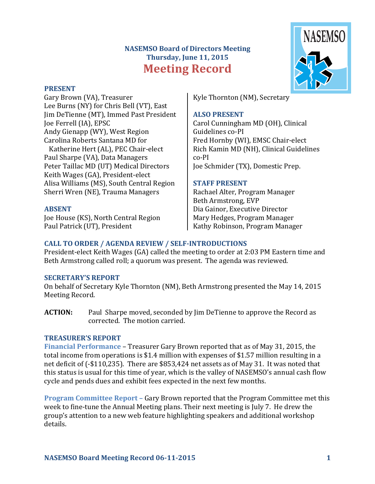# **NASEMSO Board of Directors Meeting Thursday, June 11, 2015 Meeting Record**

#### **PRESENT**

Gary Brown (VA), Treasurer Lee Burns (NY) for Chris Bell (VT), East Jim DeTienne (MT), Immed Past President Joe Ferrell (IA), EPSC Andy Gienapp (WY), West Region Carolina Roberts Santana MD for Katherine Hert (AL), PEC Chair-elect Paul Sharpe (VA), Data Managers Peter Taillac MD (UT) Medical Directors Keith Wages (GA), President-elect

Alisa Williams (MS), South Central Region Sherri Wren (NE), Trauma Managers

#### **ABSENT**

Joe House (KS), North Central Region Paul Patrick (UT), President

Kyle Thornton (NM), Secretary

#### **ALSO PRESENT**

Carol Cunningham MD (OH), Clinical Guidelines co-PI Fred Hornby (WI), EMSC Chair-elect Rich Kamin MD (NH), Clinical Guidelines co-PI Joe Schmider (TX), Domestic Prep.

#### **STAFF PRESENT**

Rachael Alter, Program Manager Beth Armstrong, EVP Dia Gainor, Executive Director Mary Hedges, Program Manager Kathy Robinson, Program Manager

#### CALL TO ORDER / AGENDA REVIEW / SELF-INTRODUCTIONS

President-elect Keith Wages (GA) called the meeting to order at 2:03 PM Eastern time and Beth Armstrong called roll; a quorum was present. The agenda was reviewed.

#### **SECRETARY'S REPORT**

On behalf of Secretary Kyle Thornton (NM), Beth Armstrong presented the May 14, 2015 Meeting Record.

**ACTION:** Paul Sharpe moved, seconded by Jim DeTienne to approve the Record as corrected. The motion carried.

#### **TREASURER'S REPORT**

**Financial Performance** – Treasurer Gary Brown reported that as of May 31, 2015, the total income from operations is \$1.4 million with expenses of \$1.57 million resulting in a net deficit of (-\$110,235). There are \$853,424 net assets as of May 31. It was noted that this status is usual for this time of year, which is the valley of NASEMSO's annual cash flow cycle and pends dues and exhibit fees expected in the next few months.

**Program Committee Report – Gary Brown reported that the Program Committee met this** week to fine-tune the Annual Meeting plans. Their next meeting is July 7. He drew the group's attention to a new web feature highlighting speakers and additional workshop details.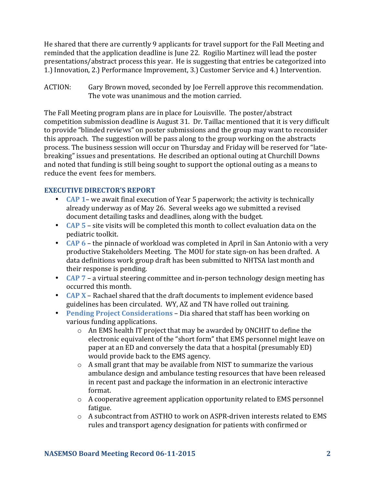He shared that there are currently 9 applicants for travel support for the Fall Meeting and reminded that the application deadline is June 22. Rogilio Martinez will lead the poster presentations/abstract process this year. He is suggesting that entries be categorized into 1.) Innovation, 2.) Performance Improvement, 3.) Customer Service and 4.) Intervention.

ACTION: Gary Brown moved, seconded by Joe Ferrell approve this recommendation. The vote was unanimous and the motion carried.

The Fall Meeting program plans are in place for Louisville. The poster/abstract competition submission deadline is August 31. Dr. Taillac mentioned that it is very difficult to provide "blinded reviews" on poster submissions and the group may want to reconsider this approach. The suggestion will be pass along to the group working on the abstracts process. The business session will occur on Thursday and Friday will be reserved for "latebreaking" issues and presentations. He described an optional outing at Churchill Downs and noted that funding is still being sought to support the optional outing as a means to reduce the event fees for members.

## **EXECUTIVE DIRECTOR'S REPORT**

- **CAP 1** we await final execution of Year 5 paperwork; the activity is technically already underway as of May 26. Several weeks ago we submitted a revised document detailing tasks and deadlines, along with the budget.
- **CAP** 5 site visits will be completed this month to collect evaluation data on the pediatric toolkit.
- **CAP 6** the pinnacle of workload was completed in April in San Antonio with a very productive Stakeholders Meeting. The MOU for state sign-on has been drafted. A data definitions work group draft has been submitted to NHTSA last month and their response is pending.
- **CAP** 7 a virtual steering committee and in-person technology design meeting has occurred this month.
- **CAP X** Rachael shared that the draft documents to implement evidence based guidelines has been circulated. WY, AZ and TN have rolled out training.
- **Pending Project Considerations** Dia shared that staff has been working on various funding applications.
	- $\circ$  An EMS health IT project that may be awarded by ONCHIT to define the electronic equivalent of the "short form" that EMS personnel might leave on paper at an ED and conversely the data that a hospital (presumably ED) would provide back to the EMS agency.
	- $\circ$  A small grant that may be available from NIST to summarize the various ambulance design and ambulance testing resources that have been released in recent past and package the information in an electronic interactive format.
	- $\circ$  A cooperative agreement application opportunity related to EMS personnel fatigue.
	- $\circ$  A subcontract from ASTHO to work on ASPR-driven interests related to EMS rules and transport agency designation for patients with confirmed or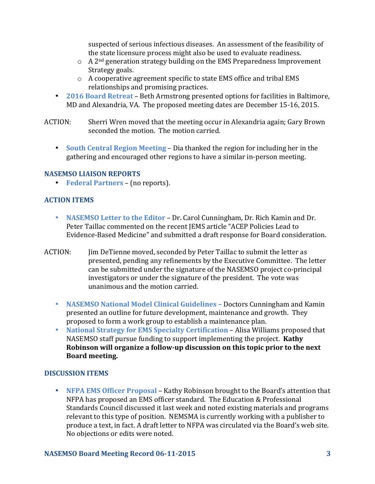suspected of serious infectious diseases. An assessment of the feasibility of the state licensure process might also be used to evaluate readiness.

- $\circ$  A 2<sup>nd</sup> generation strategy building on the EMS Preparedness Improvement Strategy goals.
- $\circ$  A cooperative agreement specific to state EMS office and tribal EMS relationships and promising practices.
- **2016 Board Retreat** Beth Armstrong presented options for facilities in Baltimore, MD and Alexandria, VA. The proposed meeting dates are December 15-16, 2015.
- ACTION: Sherri Wren moved that the meeting occur in Alexandria again; Gary Brown seconded the motion. The motion carried.
	- **South Central Region Meeting Dia thanked the region for including her in the** gathering and encouraged other regions to have a similar in-person meeting.

#### **NASEMSO LIAISON REPORTS**

• **Federal Partners** – (no reports).

# **ACTION ITEMS**

- **NASEMSO Letter to the Editor** Dr. Carol Cunningham, Dr. Rich Kamin and Dr. Peter Taillac commented on the recent JEMS article "ACEP Policies Lead to Evidence-Based Medicine" and submitted a draft response for Board consideration.
- ACTION: Jim DeTienne moved, seconded by Peter Taillac to submit the letter as presented, pending any refinements by the Executive Committee. The letter can be submitted under the signature of the NASEMSO project co-principal investigators or under the signature of the president. The vote was unanimous and the motion carried.
	- **NASEMSO National Model Clinical Guidelines** Doctors Cunningham and Kamin presented an outline for future development, maintenance and growth. They proposed to form a work group to establish a maintenance plan.
	- National Strategy for EMS Specialty Certification Alisa Williams proposed that NASEMSO staff pursue funding to support implementing the project. Kathy Robinson will organize a follow-up discussion on this topic prior to the next **Board meeting.**

# **DISCUSSION ITEMS**

• **NFPA EMS Officer Proposal** – Kathy Robinson brought to the Board's attention that NFPA has proposed an EMS officer standard. The Education & Professional Standards Council discussed it last week and noted existing materials and programs relevant to this type of position. NEMSMA is currently working with a publisher to produce a text, in fact. A draft letter to NFPA was circulated via the Board's web site. No objections or edits were noted.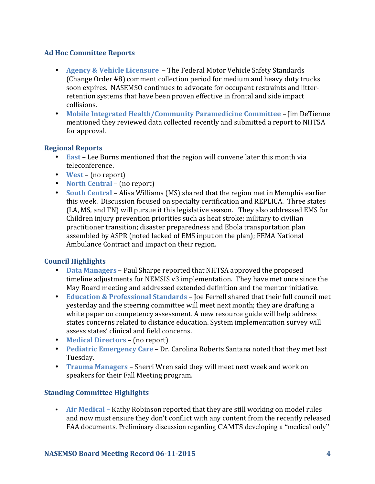#### **Ad Hoc Committee Reports**

- **Agency & Vehicle Licensure** The Federal Motor Vehicle Safety Standards (Change Order #8) comment collection period for medium and heavy duty trucks soon expires. NASEMSO continues to advocate for occupant restraints and litterretention systems that have been proven effective in frontal and side impact collisions.
- Mobile Integrated Health/Community Paramedicine Committee Jim DeTienne mentioned they reviewed data collected recently and submitted a report to NHTSA for approval.

## **Regional Reports**

- **East** Lee Burns mentioned that the region will convene later this month via teleconference.
- **West** (no report)
- **North Central** (no report)
- **South Central** Alisa Williams (MS) shared that the region met in Memphis earlier this week. Discussion focused on specialty certification and REPLICA. Three states (LA, MS, and TN) will pursue it this legislative season. They also addressed EMS for Children injury prevention priorities such as heat stroke; military to civilian practitioner transition; disaster preparedness and Ebola transportation plan assembled by ASPR (noted lacked of EMS input on the plan); FEMA National Ambulance Contract and impact on their region.

## **Council Highlights**

- **Data Managers** Paul Sharpe reported that NHTSA approved the proposed timeline adjustments for NEMSIS v3 implementation. They have met once since the May Board meeting and addressed extended definition and the mentor initiative.
- **Education & Professional Standards** Joe Ferrell shared that their full council met yesterday and the steering committee will meet next month; they are drafting a white paper on competency assessment. A new resource guide will help address states concerns related to distance education. System implementation survey will assess states' clinical and field concerns.
- **Medical Directors** (no report)
- **Pediatric Emergency Care** Dr. Carolina Roberts Santana noted that they met last Tuesday.
- **Trauma Managers** Sherri Wren said they will meet next week and work on speakers for their Fall Meeting program.

# **Standing Committee Highlights**

• Air Medical – Kathy Robinson reported that they are still working on model rules and now must ensure they don't conflict with any content from the recently released FAA documents. Preliminary discussion regarding CAMTS developing a "medical only"